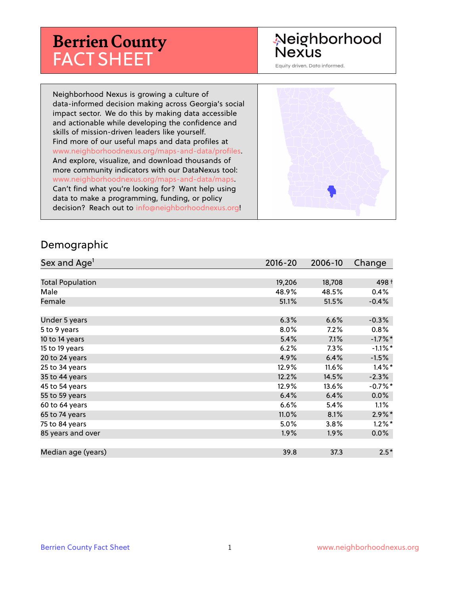# **Berrien County** FACT SHEET

## Neighborhood **Nexus**

Equity driven. Data informed.

Neighborhood Nexus is growing a culture of data-informed decision making across Georgia's social impact sector. We do this by making data accessible and actionable while developing the confidence and skills of mission-driven leaders like yourself. Find more of our useful maps and data profiles at www.neighborhoodnexus.org/maps-and-data/profiles. And explore, visualize, and download thousands of more community indicators with our DataNexus tool: www.neighborhoodnexus.org/maps-and-data/maps. Can't find what you're looking for? Want help using data to make a programming, funding, or policy decision? Reach out to [info@neighborhoodnexus.org!](mailto:info@neighborhoodnexus.org)



#### Demographic

| Sex and Age <sup>1</sup> | $2016 - 20$ | 2006-10 | Change               |
|--------------------------|-------------|---------|----------------------|
|                          |             |         |                      |
| <b>Total Population</b>  | 19,206      | 18,708  | 498 +                |
| Male                     | 48.9%       | 48.5%   | 0.4%                 |
| Female                   | 51.1%       | 51.5%   | $-0.4%$              |
|                          |             |         |                      |
| Under 5 years            | 6.3%        | 6.6%    | $-0.3%$              |
| 5 to 9 years             | 8.0%        | 7.2%    | $0.8\%$              |
| 10 to 14 years           | 5.4%        | 7.1%    | $-1.7%$ *            |
| 15 to 19 years           | 6.2%        | 7.3%    | $-1.1\%$ *           |
| 20 to 24 years           | 4.9%        | 6.4%    | $-1.5%$              |
| 25 to 34 years           | 12.9%       | 11.6%   | $1.4\%$ *            |
| 35 to 44 years           | 12.2%       | 14.5%   | $-2.3%$              |
| 45 to 54 years           | 12.9%       | 13.6%   | $-0.7%$ *            |
| 55 to 59 years           | 6.4%        | 6.4%    | $0.0\%$              |
| 60 to 64 years           | 6.6%        | 5.4%    | $1.1\%$              |
| 65 to 74 years           | 11.0%       | 8.1%    | $2.9\%$ <sup>*</sup> |
| 75 to 84 years           | 5.0%        | 3.8%    | $1.2\%$ *            |
| 85 years and over        | 1.9%        | 1.9%    | $0.0\%$              |
|                          |             |         |                      |
| Median age (years)       | 39.8        | 37.3    | $2.5*$               |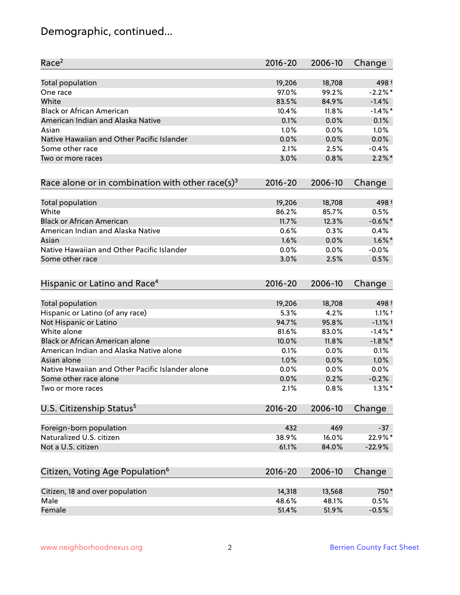## Demographic, continued...

| Race <sup>2</sup>                                            | $2016 - 20$ | 2006-10 | Change     |
|--------------------------------------------------------------|-------------|---------|------------|
| <b>Total population</b>                                      | 19,206      | 18,708  | 498 +      |
| One race                                                     | 97.0%       | 99.2%   | $-2.2%$ *  |
| White                                                        | 83.5%       | 84.9%   | $-1.4%$    |
| <b>Black or African American</b>                             | 10.4%       | 11.8%   | $-1.4\%$ * |
| American Indian and Alaska Native                            | 0.1%        | 0.0%    | 0.1%       |
| Asian                                                        | 1.0%        | 0.0%    | 1.0%       |
| Native Hawaiian and Other Pacific Islander                   | 0.0%        | 0.0%    | 0.0%       |
| Some other race                                              | 2.1%        | 2.5%    | $-0.4%$    |
| Two or more races                                            | 3.0%        | 0.8%    | $2.2\%$ *  |
| Race alone or in combination with other race(s) <sup>3</sup> | $2016 - 20$ | 2006-10 | Change     |
| Total population                                             | 19,206      | 18,708  | 498 +      |
| White                                                        | 86.2%       | 85.7%   | 0.5%       |
| <b>Black or African American</b>                             | 11.7%       | 12.3%   | $-0.6%$ *  |
| American Indian and Alaska Native                            | 0.6%        | 0.3%    | 0.4%       |
| Asian                                                        | 1.6%        | 0.0%    | $1.6\%$ *  |
| Native Hawaiian and Other Pacific Islander                   | 0.0%        | 0.0%    | $-0.0%$    |
| Some other race                                              | 3.0%        | 2.5%    | 0.5%       |
| Hispanic or Latino and Race <sup>4</sup>                     | $2016 - 20$ | 2006-10 | Change     |
| <b>Total population</b>                                      | 19,206      | 18,708  | 498 +      |
| Hispanic or Latino (of any race)                             | 5.3%        | 4.2%    | $1.1%$ †   |
| Not Hispanic or Latino                                       | 94.7%       | 95.8%   | $-1.1%$ +  |
| White alone                                                  | 81.6%       | 83.0%   | $-1.4\%$ * |
| Black or African American alone                              | 10.0%       | 11.8%   | $-1.8\%$ * |
| American Indian and Alaska Native alone                      | 0.1%        | 0.0%    | 0.1%       |
| Asian alone                                                  | 1.0%        | 0.0%    | 1.0%       |
| Native Hawaiian and Other Pacific Islander alone             | 0.0%        | 0.0%    | 0.0%       |
| Some other race alone                                        | 0.0%        | 0.2%    | $-0.2%$    |
| Two or more races                                            | 2.1%        | 0.8%    | $1.3\%$ *  |
| U.S. Citizenship Status <sup>5</sup>                         | $2016 - 20$ | 2006-10 | Change     |
| Foreign-born population                                      | 432         | 469     | $-37$      |
| Naturalized U.S. citizen                                     | 38.9%       | 16.0%   | 22.9%*     |
| Not a U.S. citizen                                           | 61.1%       | 84.0%   | $-22.9%$   |
| Citizen, Voting Age Population <sup>6</sup>                  | $2016 - 20$ | 2006-10 | Change     |
|                                                              |             |         |            |
| Citizen, 18 and over population                              | 14,318      | 13,568  | 750*       |
| Male                                                         | 48.6%       | 48.1%   | 0.5%       |
| Female                                                       | 51.4%       | 51.9%   | $-0.5%$    |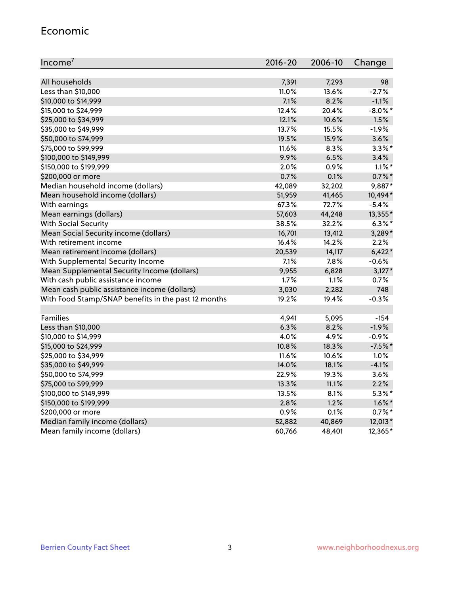#### Economic

| Income <sup>7</sup>                                 | $2016 - 20$ | 2006-10 | Change     |
|-----------------------------------------------------|-------------|---------|------------|
|                                                     |             |         |            |
| All households                                      | 7,391       | 7,293   | 98         |
| Less than \$10,000                                  | 11.0%       | 13.6%   | $-2.7%$    |
| \$10,000 to \$14,999                                | 7.1%        | 8.2%    | $-1.1%$    |
| \$15,000 to \$24,999                                | 12.4%       | 20.4%   | $-8.0\%$ * |
| \$25,000 to \$34,999                                | 12.1%       | 10.6%   | 1.5%       |
| \$35,000 to \$49,999                                | 13.7%       | 15.5%   | $-1.9%$    |
| \$50,000 to \$74,999                                | 19.5%       | 15.9%   | 3.6%       |
| \$75,000 to \$99,999                                | 11.6%       | 8.3%    | $3.3\%$ *  |
| \$100,000 to \$149,999                              | 9.9%        | 6.5%    | 3.4%       |
| \$150,000 to \$199,999                              | 2.0%        | 0.9%    | $1.1\%$ *  |
| \$200,000 or more                                   | 0.7%        | 0.1%    | $0.7\%$ *  |
| Median household income (dollars)                   | 42,089      | 32,202  | 9,887*     |
| Mean household income (dollars)                     | 51,959      | 41,465  | 10,494*    |
| With earnings                                       | 67.3%       | 72.7%   | $-5.4%$    |
| Mean earnings (dollars)                             | 57,603      | 44,248  | 13,355*    |
| <b>With Social Security</b>                         | 38.5%       | 32.2%   | $6.3\%$ *  |
| Mean Social Security income (dollars)               | 16,701      | 13,412  | 3,289*     |
| With retirement income                              | 16.4%       | 14.2%   | 2.2%       |
| Mean retirement income (dollars)                    | 20,539      | 14,117  | $6,422*$   |
| With Supplemental Security Income                   | 7.1%        | $7.8\%$ | $-0.6%$    |
| Mean Supplemental Security Income (dollars)         | 9,955       | 6,828   | $3,127*$   |
| With cash public assistance income                  | 1.7%        | 1.1%    | 0.7%       |
| Mean cash public assistance income (dollars)        | 3,030       | 2,282   | 748        |
| With Food Stamp/SNAP benefits in the past 12 months | 19.2%       | 19.4%   | $-0.3%$    |
|                                                     |             |         |            |
| Families                                            | 4,941       | 5,095   | $-154$     |
| Less than \$10,000                                  | 6.3%        | 8.2%    | $-1.9%$    |
| \$10,000 to \$14,999                                | 4.0%        | 4.9%    | $-0.9%$    |
| \$15,000 to \$24,999                                | 10.8%       | 18.3%   | $-7.5%$ *  |
| \$25,000 to \$34,999                                | 11.6%       | 10.6%   | 1.0%       |
| \$35,000 to \$49,999                                | 14.0%       | 18.1%   | $-4.1%$    |
| \$50,000 to \$74,999                                | 22.9%       | 19.3%   | 3.6%       |
| \$75,000 to \$99,999                                | 13.3%       | 11.1%   | 2.2%       |
| \$100,000 to \$149,999                              | 13.5%       | 8.1%    | $5.3\%$ *  |
| \$150,000 to \$199,999                              | 2.8%        | 1.2%    | $1.6\%$ *  |
| \$200,000 or more                                   | 0.9%        | 0.1%    | $0.7%$ *   |
| Median family income (dollars)                      | 52,882      | 40,869  | 12,013*    |
| Mean family income (dollars)                        | 60,766      | 48,401  | 12,365*    |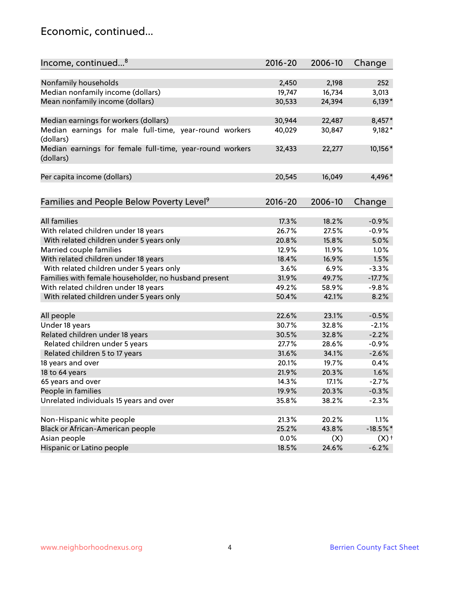### Economic, continued...

| Income, continued <sup>8</sup>                           | $2016 - 20$ | 2006-10 | Change      |
|----------------------------------------------------------|-------------|---------|-------------|
|                                                          |             |         |             |
| Nonfamily households                                     | 2,450       | 2,198   | 252         |
| Median nonfamily income (dollars)                        | 19,747      | 16,734  | 3,013       |
| Mean nonfamily income (dollars)                          | 30,533      | 24,394  | $6,139*$    |
|                                                          |             |         |             |
| Median earnings for workers (dollars)                    | 30,944      | 22,487  | 8,457*      |
| Median earnings for male full-time, year-round workers   | 40,029      | 30,847  | 9,182*      |
| (dollars)                                                |             |         |             |
| Median earnings for female full-time, year-round workers | 32,433      | 22,277  | 10,156*     |
| (dollars)                                                |             |         |             |
|                                                          |             |         |             |
| Per capita income (dollars)                              | 20,545      | 16,049  | 4,496*      |
|                                                          |             |         |             |
| Families and People Below Poverty Level <sup>9</sup>     | 2016-20     | 2006-10 | Change      |
|                                                          |             |         |             |
| <b>All families</b>                                      | 17.3%       | 18.2%   | $-0.9%$     |
| With related children under 18 years                     | 26.7%       | 27.5%   | $-0.9%$     |
| With related children under 5 years only                 | 20.8%       | 15.8%   | 5.0%        |
| Married couple families                                  | 12.9%       | 11.9%   | 1.0%        |
| With related children under 18 years                     | 18.4%       | 16.9%   | 1.5%        |
| With related children under 5 years only                 | 3.6%        | 6.9%    | $-3.3%$     |
| Families with female householder, no husband present     | 31.9%       | 49.7%   | $-17.7%$    |
| With related children under 18 years                     | 49.2%       | 58.9%   | $-9.8%$     |
| With related children under 5 years only                 | 50.4%       | 42.1%   | 8.2%        |
|                                                          |             |         |             |
| All people                                               | 22.6%       | 23.1%   | $-0.5%$     |
| Under 18 years                                           | 30.7%       | 32.8%   | $-2.1%$     |
| Related children under 18 years                          | 30.5%       | 32.8%   | $-2.2%$     |
| Related children under 5 years                           | 27.7%       | 28.6%   | $-0.9%$     |
| Related children 5 to 17 years                           | 31.6%       | 34.1%   | $-2.6%$     |
| 18 years and over                                        | 20.1%       | 19.7%   | 0.4%        |
| 18 to 64 years                                           | 21.9%       | 20.3%   | 1.6%        |
| 65 years and over                                        | 14.3%       | 17.1%   | $-2.7%$     |
| People in families                                       | 19.9%       | 20.3%   | $-0.3%$     |
| Unrelated individuals 15 years and over                  | 35.8%       | 38.2%   | $-2.3%$     |
|                                                          |             |         |             |
| Non-Hispanic white people                                | 21.3%       | 20.2%   | 1.1%        |
| Black or African-American people                         | 25.2%       | 43.8%   | $-18.5\%$ * |
| Asian people                                             | 0.0%        | (X)     | $(X)$ +     |
| Hispanic or Latino people                                | 18.5%       | 24.6%   | $-6.2%$     |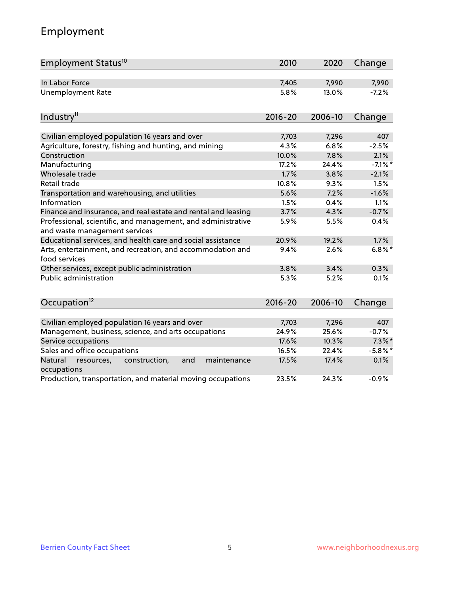## Employment

| Employment Status <sup>10</sup>                                                               | 2010        | 2020    | Change     |
|-----------------------------------------------------------------------------------------------|-------------|---------|------------|
| In Labor Force                                                                                | 7,405       | 7,990   | 7,990      |
| <b>Unemployment Rate</b>                                                                      | 5.8%        | 13.0%   | $-7.2%$    |
|                                                                                               |             |         |            |
| Industry <sup>11</sup>                                                                        | $2016 - 20$ | 2006-10 | Change     |
| Civilian employed population 16 years and over                                                | 7,703       | 7,296   | 407        |
| Agriculture, forestry, fishing and hunting, and mining                                        | 4.3%        | 6.8%    | $-2.5%$    |
| Construction                                                                                  | 10.0%       | 7.8%    | 2.1%       |
| Manufacturing                                                                                 | 17.2%       | 24.4%   | $-7.1\%$ * |
| Wholesale trade                                                                               | 1.7%        | 3.8%    | $-2.1%$    |
| Retail trade                                                                                  | 10.8%       | 9.3%    | 1.5%       |
| Transportation and warehousing, and utilities                                                 | 5.6%        | 7.2%    | $-1.6%$    |
| Information                                                                                   | 1.5%        | 0.4%    | 1.1%       |
| Finance and insurance, and real estate and rental and leasing                                 | 3.7%        | 4.3%    | $-0.7%$    |
| Professional, scientific, and management, and administrative<br>and waste management services | 5.9%        | 5.5%    | 0.4%       |
| Educational services, and health care and social assistance                                   | 20.9%       | 19.2%   | 1.7%       |
| Arts, entertainment, and recreation, and accommodation and<br>food services                   | 9.4%        | 2.6%    | $6.8\%$ *  |
| Other services, except public administration                                                  | 3.8%        | 3.4%    | 0.3%       |
| Public administration                                                                         | 5.3%        | 5.2%    | 0.1%       |
| Occupation <sup>12</sup>                                                                      | $2016 - 20$ | 2006-10 | Change     |
|                                                                                               |             |         |            |
| Civilian employed population 16 years and over                                                | 7,703       | 7,296   | 407        |
| Management, business, science, and arts occupations                                           | 24.9%       | 25.6%   | $-0.7%$    |
| Service occupations                                                                           | 17.6%       | 10.3%   | $7.3\%$ *  |
| Sales and office occupations                                                                  | 16.5%       | 22.4%   | $-5.8\%$ * |
| Natural<br>construction,<br>and<br>maintenance<br>resources,<br>occupations                   | 17.5%       | 17.4%   | 0.1%       |
| Production, transportation, and material moving occupations                                   | 23.5%       | 24.3%   | $-0.9%$    |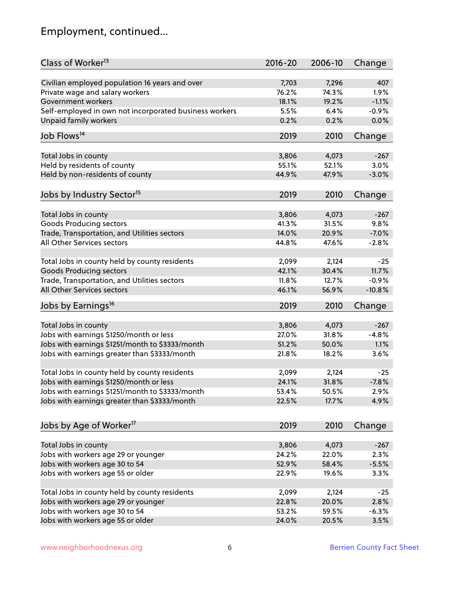## Employment, continued...

| Class of Worker <sup>13</sup>                          | $2016 - 20$ | 2006-10 | Change   |
|--------------------------------------------------------|-------------|---------|----------|
| Civilian employed population 16 years and over         | 7,703       | 7,296   | 407      |
| Private wage and salary workers                        | 76.2%       | 74.3%   | 1.9%     |
| Government workers                                     | 18.1%       | 19.2%   | $-1.1%$  |
| Self-employed in own not incorporated business workers | 5.5%        | 6.4%    | $-0.9%$  |
| <b>Unpaid family workers</b>                           | 0.2%        | 0.2%    | 0.0%     |
|                                                        |             |         |          |
| Job Flows <sup>14</sup>                                | 2019        | 2010    | Change   |
| Total Jobs in county                                   | 3,806       | 4,073   | $-267$   |
| Held by residents of county                            | 55.1%       | 52.1%   | 3.0%     |
| Held by non-residents of county                        | 44.9%       | 47.9%   | $-3.0%$  |
|                                                        |             |         |          |
| Jobs by Industry Sector <sup>15</sup>                  | 2019        | 2010    | Change   |
| Total Jobs in county                                   | 3,806       | 4,073   | $-267$   |
| Goods Producing sectors                                | 41.3%       | 31.5%   | 9.8%     |
| Trade, Transportation, and Utilities sectors           | 14.0%       | 20.9%   | $-7.0%$  |
| All Other Services sectors                             | 44.8%       | 47.6%   | $-2.8%$  |
|                                                        |             |         |          |
| Total Jobs in county held by county residents          | 2,099       | 2,124   | $-25$    |
| <b>Goods Producing sectors</b>                         | 42.1%       | 30.4%   | 11.7%    |
| Trade, Transportation, and Utilities sectors           | 11.8%       | 12.7%   | $-0.9%$  |
| All Other Services sectors                             | 46.1%       | 56.9%   | $-10.8%$ |
| Jobs by Earnings <sup>16</sup>                         | 2019        | 2010    | Change   |
|                                                        |             |         |          |
| Total Jobs in county                                   | 3,806       | 4,073   | $-267$   |
| Jobs with earnings \$1250/month or less                | 27.0%       | 31.8%   | $-4.8%$  |
| Jobs with earnings \$1251/month to \$3333/month        | 51.2%       | 50.0%   | 1.1%     |
| Jobs with earnings greater than \$3333/month           | 21.8%       | 18.2%   | 3.6%     |
| Total Jobs in county held by county residents          | 2,099       | 2,124   | $-25$    |
| Jobs with earnings \$1250/month or less                | 24.1%       | 31.8%   | $-7.8%$  |
| Jobs with earnings \$1251/month to \$3333/month        | 53.4%       | 50.5%   | $2.9\%$  |
| Jobs with earnings greater than \$3333/month           | 22.5%       | 17.7%   | 4.9%     |
|                                                        |             |         |          |
| Jobs by Age of Worker <sup>17</sup>                    | 2019        | 2010    | Change   |
| Total Jobs in county                                   | 3,806       | 4,073   | $-267$   |
| Jobs with workers age 29 or younger                    | 24.2%       | 22.0%   | 2.3%     |
| Jobs with workers age 30 to 54                         | 52.9%       | 58.4%   | $-5.5%$  |
| Jobs with workers age 55 or older                      | 22.9%       | 19.6%   | 3.3%     |
|                                                        |             |         |          |
| Total Jobs in county held by county residents          | 2,099       | 2,124   | -25      |
| Jobs with workers age 29 or younger                    | 22.8%       | 20.0%   | 2.8%     |
| Jobs with workers age 30 to 54                         | 53.2%       | 59.5%   | $-6.3%$  |
| Jobs with workers age 55 or older                      | 24.0%       | 20.5%   | 3.5%     |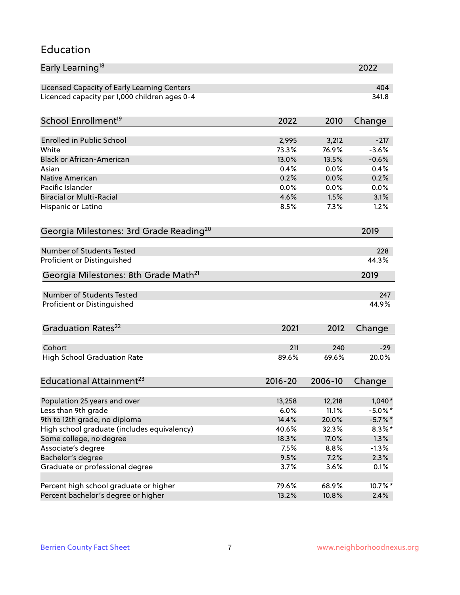#### Education

| Early Learning <sup>18</sup>                        |               |              | 2022           |
|-----------------------------------------------------|---------------|--------------|----------------|
| Licensed Capacity of Early Learning Centers         |               |              | 404            |
| Licenced capacity per 1,000 children ages 0-4       |               |              | 341.8          |
| School Enrollment <sup>19</sup>                     | 2022          | 2010         | Change         |
|                                                     |               |              |                |
| <b>Enrolled in Public School</b>                    | 2,995         | 3,212        | $-217$         |
| White<br><b>Black or African-American</b>           | 73.3%         | 76.9%        | $-3.6%$        |
|                                                     | 13.0%<br>0.4% | 13.5%        | $-0.6%$        |
| Asian                                               |               | 0.0%         | 0.4%           |
| Native American<br>Pacific Islander                 | 0.2%          | 0.0%         | 0.2%           |
| <b>Biracial or Multi-Racial</b>                     | 0.0%<br>4.6%  | 0.0%<br>1.5% | 0.0%<br>3.1%   |
|                                                     |               |              |                |
| Hispanic or Latino                                  | 8.5%          | 7.3%         | 1.2%           |
| Georgia Milestones: 3rd Grade Reading <sup>20</sup> |               |              | 2019           |
| Number of Students Tested                           |               |              | 228            |
| Proficient or Distinguished                         |               |              | 44.3%          |
| Georgia Milestones: 8th Grade Math <sup>21</sup>    |               |              | 2019           |
|                                                     |               |              |                |
| Number of Students Tested                           |               |              | 247            |
| Proficient or Distinguished                         |               |              | 44.9%          |
| Graduation Rates <sup>22</sup>                      | 2021          | 2012         | Change         |
|                                                     |               |              |                |
| Cohort                                              | 211           | 240          | $-29$<br>20.0% |
| <b>High School Graduation Rate</b>                  | 89.6%         | 69.6%        |                |
| Educational Attainment <sup>23</sup>                | $2016 - 20$   | 2006-10      | Change         |
| Population 25 years and over                        | 13,258        | 12,218       | $1,040*$       |
| Less than 9th grade                                 | 6.0%          | 11.1%        | $-5.0\%$ *     |
| 9th to 12th grade, no diploma                       | 14.4%         | 20.0%        | $-5.7\%$ *     |
| High school graduate (includes equivalency)         | 40.6%         | 32.3%        | $8.3\%$ *      |
| Some college, no degree                             | 18.3%         | 17.0%        | 1.3%           |
| Associate's degree                                  | 7.5%          | 8.8%         | $-1.3%$        |
| Bachelor's degree                                   | 9.5%          | 7.2%         | 2.3%           |
| Graduate or professional degree                     | 3.7%          | 3.6%         | 0.1%           |
|                                                     |               |              |                |
| Percent high school graduate or higher              | 79.6%         | 68.9%        | 10.7%*         |
| Percent bachelor's degree or higher                 | 13.2%         | 10.8%        | 2.4%           |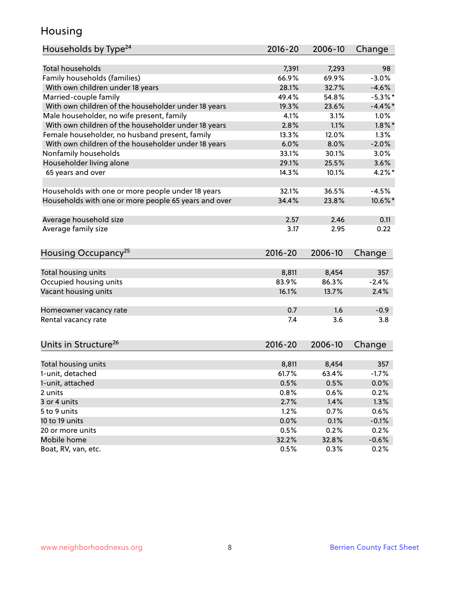### Housing

| Households by Type <sup>24</sup>                     | $2016 - 20$ | 2006-10 | Change     |
|------------------------------------------------------|-------------|---------|------------|
|                                                      |             |         |            |
| <b>Total households</b>                              | 7,391       | 7,293   | 98         |
| Family households (families)                         | 66.9%       | 69.9%   | $-3.0%$    |
| With own children under 18 years                     | 28.1%       | 32.7%   | $-4.6%$    |
| Married-couple family                                | 49.4%       | 54.8%   | $-5.3\%$ * |
| With own children of the householder under 18 years  | 19.3%       | 23.6%   | $-4.4%$    |
| Male householder, no wife present, family            | 4.1%        | 3.1%    | 1.0%       |
| With own children of the householder under 18 years  | 2.8%        | 1.1%    | $1.8\%$ *  |
| Female householder, no husband present, family       | 13.3%       | 12.0%   | 1.3%       |
| With own children of the householder under 18 years  | 6.0%        | 8.0%    | $-2.0%$    |
| Nonfamily households                                 | 33.1%       | 30.1%   | 3.0%       |
| Householder living alone                             | 29.1%       | 25.5%   | 3.6%       |
| 65 years and over                                    | 14.3%       | 10.1%   | $4.2\%$ *  |
|                                                      |             |         |            |
| Households with one or more people under 18 years    | 32.1%       | 36.5%   | $-4.5%$    |
| Households with one or more people 65 years and over | 34.4%       | 23.8%   | 10.6%*     |
|                                                      |             |         |            |
| Average household size                               | 2.57        | 2.46    | 0.11       |
| Average family size                                  | 3.17        | 2.95    | 0.22       |
| Housing Occupancy <sup>25</sup>                      | $2016 - 20$ | 2006-10 | Change     |
|                                                      |             |         |            |
| Total housing units                                  | 8,811       | 8,454   | 357        |
| Occupied housing units                               | 83.9%       | 86.3%   | $-2.4%$    |
| Vacant housing units                                 | 16.1%       | 13.7%   | 2.4%       |
|                                                      |             |         |            |
| Homeowner vacancy rate                               | 0.7         | 1.6     | $-0.9$     |
| Rental vacancy rate                                  | 7.4         | 3.6     | 3.8        |
| Units in Structure <sup>26</sup>                     | $2016 - 20$ | 2006-10 | Change     |
|                                                      |             |         |            |
| Total housing units                                  | 8,811       | 8,454   | 357        |
| 1-unit, detached                                     | 61.7%       | 63.4%   | $-1.7%$    |
| 1-unit, attached                                     | 0.5%        | 0.5%    | 0.0%       |
| 2 units                                              | 0.8%        | 0.6%    | 0.2%       |
| 3 or 4 units                                         | 2.7%        | 1.4%    | 1.3%       |
| 5 to 9 units                                         | 1.2%        | 0.7%    | 0.6%       |
| 10 to 19 units                                       | 0.0%        | 0.1%    | $-0.1%$    |
| 20 or more units                                     | 0.5%        | 0.2%    | 0.2%       |
| Mobile home                                          | 32.2%       | 32.8%   | $-0.6%$    |
| Boat, RV, van, etc.                                  | 0.5%        | 0.3%    | 0.2%       |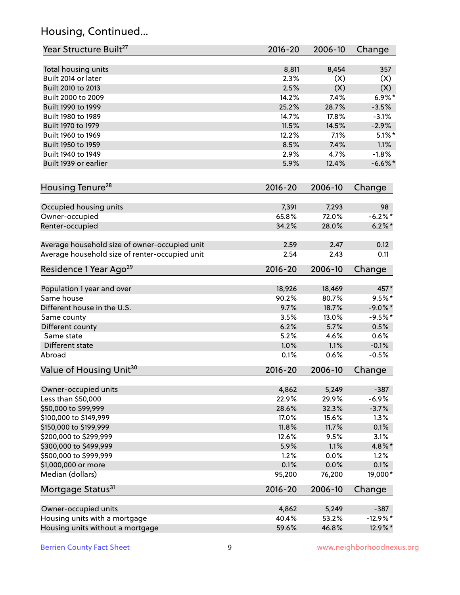## Housing, Continued...

| Year Structure Built <sup>27</sup>             | 2016-20      | 2006-10 | Change                  |
|------------------------------------------------|--------------|---------|-------------------------|
| Total housing units                            | 8,811        | 8,454   | 357                     |
| Built 2014 or later                            | 2.3%         | (X)     | (X)                     |
| Built 2010 to 2013                             | 2.5%         | (X)     | (X)                     |
| Built 2000 to 2009                             | 14.2%        | 7.4%    | $6.9\%$ *               |
| Built 1990 to 1999                             | 25.2%        | 28.7%   | $-3.5%$                 |
| Built 1980 to 1989                             | 14.7%        | 17.8%   | $-3.1%$                 |
| Built 1970 to 1979                             | 11.5%        | 14.5%   | $-2.9%$                 |
| Built 1960 to 1969                             | 12.2%        | 7.1%    | $5.1\%$ *               |
| Built 1950 to 1959                             | 8.5%         | 7.4%    | 1.1%                    |
| Built 1940 to 1949                             | 2.9%         | 4.7%    | $-1.8%$                 |
| Built 1939 or earlier                          | 5.9%         | 12.4%   | $-6.6\%$ *              |
|                                                |              |         |                         |
| Housing Tenure <sup>28</sup>                   | $2016 - 20$  | 2006-10 | Change                  |
|                                                |              |         |                         |
| Occupied housing units                         | 7,391        | 7,293   | 98                      |
| Owner-occupied                                 | 65.8%        | 72.0%   | $-6.2%$ *               |
| Renter-occupied                                | 34.2%        | 28.0%   | $6.2\%$ *               |
| Average household size of owner-occupied unit  | 2.59         | 2.47    | 0.12                    |
| Average household size of renter-occupied unit | 2.54         | 2.43    | 0.11                    |
| Residence 1 Year Ago <sup>29</sup>             | $2016 - 20$  | 2006-10 | Change                  |
| Population 1 year and over                     | 18,926       | 18,469  | 457*                    |
| Same house                                     | 90.2%        | 80.7%   | $9.5%$ *                |
| Different house in the U.S.                    |              | 18.7%   |                         |
|                                                | 9.7%<br>3.5% | 13.0%   | $-9.0\%$ *<br>$-9.5%$ * |
| Same county                                    |              |         |                         |
| Different county<br>Same state                 | 6.2%         | 5.7%    | 0.5%                    |
|                                                | 5.2%         | 4.6%    | 0.6%                    |
| Different state                                | 1.0%         | 1.1%    | $-0.1%$                 |
| Abroad                                         | 0.1%         | 0.6%    | $-0.5%$                 |
| Value of Housing Unit <sup>30</sup>            | $2016 - 20$  | 2006-10 | Change                  |
| Owner-occupied units                           | 4,862        | 5,249   | $-387$                  |
| Less than \$50,000                             | 22.9%        | 29.9%   | $-6.9%$                 |
| \$50,000 to \$99,999                           | 28.6%        | 32.3%   | $-3.7%$                 |
| \$100,000 to \$149,999                         | 17.0%        | 15.6%   | 1.3%                    |
| \$150,000 to \$199,999                         | 11.8%        | 11.7%   | 0.1%                    |
| \$200,000 to \$299,999                         | 12.6%        | 9.5%    | 3.1%                    |
| \$300,000 to \$499,999                         | 5.9%         | 1.1%    | 4.8%*                   |
| \$500,000 to \$999,999                         | 1.2%         | 0.0%    | 1.2%                    |
| \$1,000,000 or more                            | 0.1%         | 0.0%    | 0.1%                    |
| Median (dollars)                               | 95,200       | 76,200  | 19,000*                 |
| Mortgage Status <sup>31</sup>                  | $2016 - 20$  | 2006-10 | Change                  |
|                                                |              |         |                         |
| Owner-occupied units                           | 4,862        | 5,249   | $-387$                  |
| Housing units with a mortgage                  | 40.4%        | 53.2%   | $-12.9%$ *              |
| Housing units without a mortgage               | 59.6%        | 46.8%   | 12.9%*                  |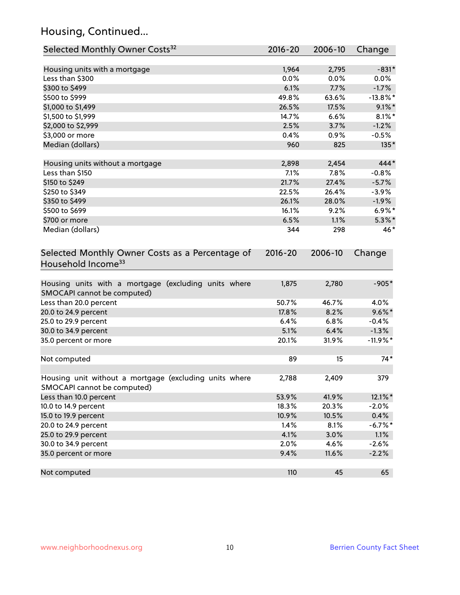## Housing, Continued...

| Selected Monthly Owner Costs <sup>32</sup>                                            | $2016 - 20$ | 2006-10 | Change      |
|---------------------------------------------------------------------------------------|-------------|---------|-------------|
| Housing units with a mortgage                                                         | 1,964       | 2,795   | $-831*$     |
| Less than \$300                                                                       | 0.0%        | 0.0%    | $0.0\%$     |
| \$300 to \$499                                                                        | 6.1%        | 7.7%    | $-1.7%$     |
| \$500 to \$999                                                                        | 49.8%       | 63.6%   | $-13.8\%$ * |
| \$1,000 to \$1,499                                                                    | 26.5%       | 17.5%   | $9.1\%$ *   |
| \$1,500 to \$1,999                                                                    | 14.7%       | 6.6%    | $8.1\%$ *   |
| \$2,000 to \$2,999                                                                    | 2.5%        | 3.7%    | $-1.2%$     |
| \$3,000 or more                                                                       | 0.4%        | 0.9%    | $-0.5%$     |
| Median (dollars)                                                                      | 960         | 825     | $135*$      |
| Housing units without a mortgage                                                      | 2,898       | 2,454   | 444*        |
| Less than \$150                                                                       | 7.1%        | 7.8%    | $-0.8%$     |
| \$150 to \$249                                                                        | 21.7%       | 27.4%   | $-5.7%$     |
| \$250 to \$349                                                                        | 22.5%       | 26.4%   | $-3.9%$     |
| \$350 to \$499                                                                        | 26.1%       | 28.0%   | $-1.9%$     |
| \$500 to \$699                                                                        | 16.1%       | 9.2%    | $6.9\%*$    |
| \$700 or more                                                                         | 6.5%        | 1.1%    | $5.3\%$ *   |
| Median (dollars)                                                                      | 344         | 298     | 46*         |
| Selected Monthly Owner Costs as a Percentage of<br>Household Income <sup>33</sup>     | $2016 - 20$ | 2006-10 | Change      |
| Housing units with a mortgage (excluding units where<br>SMOCAPI cannot be computed)   | 1,875       | 2,780   | $-905*$     |
| Less than 20.0 percent                                                                | 50.7%       | 46.7%   | 4.0%        |
| 20.0 to 24.9 percent                                                                  | 17.8%       | 8.2%    | $9.6\% *$   |
| 25.0 to 29.9 percent                                                                  | 6.4%        | 6.8%    | $-0.4%$     |
| 30.0 to 34.9 percent                                                                  | 5.1%        | 6.4%    | $-1.3%$     |
| 35.0 percent or more                                                                  | 20.1%       | 31.9%   | $-11.9%$ *  |
| Not computed                                                                          | 89          | 15      | $74*$       |
| Housing unit without a mortgage (excluding units where<br>SMOCAPI cannot be computed) | 2,788       | 2,409   | 379         |
| Less than 10.0 percent                                                                | 53.9%       | 41.9%   | 12.1%*      |
| 10.0 to 14.9 percent                                                                  | 18.3%       | 20.3%   | $-2.0%$     |
| 15.0 to 19.9 percent                                                                  | 10.9%       | 10.5%   | 0.4%        |
| 20.0 to 24.9 percent                                                                  | 1.4%        | 8.1%    | $-6.7%$ *   |
| 25.0 to 29.9 percent                                                                  | 4.1%        | 3.0%    | 1.1%        |
| 30.0 to 34.9 percent                                                                  | 2.0%        | 4.6%    | $-2.6%$     |
| 35.0 percent or more                                                                  | 9.4%        | 11.6%   | $-2.2%$     |
| Not computed                                                                          | 110         | 45      | 65          |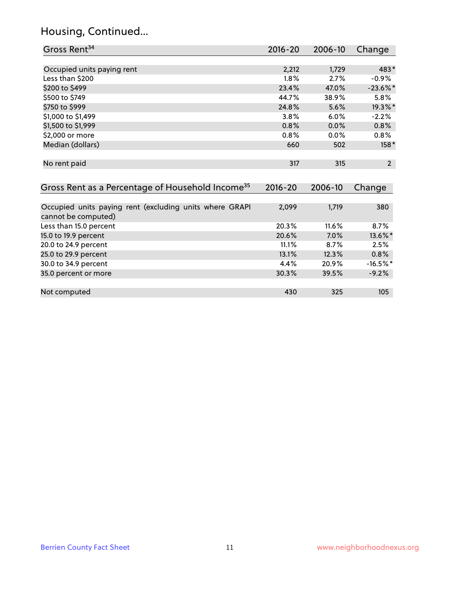### Housing, Continued...

| Gross Rent <sup>34</sup>                                                       | 2016-20     | 2006-10 | Change         |
|--------------------------------------------------------------------------------|-------------|---------|----------------|
|                                                                                |             |         |                |
| Occupied units paying rent                                                     | 2,212       | 1,729   | 483*           |
| Less than \$200                                                                | 1.8%        | 2.7%    | $-0.9%$        |
| \$200 to \$499                                                                 | 23.4%       | 47.0%   | $-23.6\%$ *    |
| \$500 to \$749                                                                 | 44.7%       | 38.9%   | $5.8\%$        |
| \$750 to \$999                                                                 | 24.8%       | 5.6%    | 19.3%*         |
| \$1,000 to \$1,499                                                             | 3.8%        | 6.0%    | $-2.2%$        |
| \$1,500 to \$1,999                                                             | 0.8%        | 0.0%    | $0.8\%$        |
| \$2,000 or more                                                                | 0.8%        | 0.0%    | $0.8\%$        |
| Median (dollars)                                                               | 660         | 502     | $158*$         |
| No rent paid                                                                   | 317         | 315     | $\overline{2}$ |
| Gross Rent as a Percentage of Household Income <sup>35</sup>                   | $2016 - 20$ | 2006-10 | Change         |
| Occupied units paying rent (excluding units where GRAPI<br>cannot be computed) | 2,099       | 1,719   | 380            |
| Less than 15.0 percent                                                         | 20.3%       | 11.6%   | 8.7%           |
| 15.0 to 19.9 percent                                                           | 20.6%       | 7.0%    | 13.6%*         |
| 20.0 to 24.9 percent                                                           | 11.1%       | 8.7%    | 2.5%           |
| 25.0 to 29.9 percent                                                           | 13.1%       | 12.3%   | 0.8%           |
| 30.0 to 34.9 percent                                                           | 4.4%        | 20.9%   | $-16.5%$ *     |
| 35.0 percent or more                                                           | 30.3%       | 39.5%   | $-9.2%$        |

| Not computed |  | .05 |
|--------------|--|-----|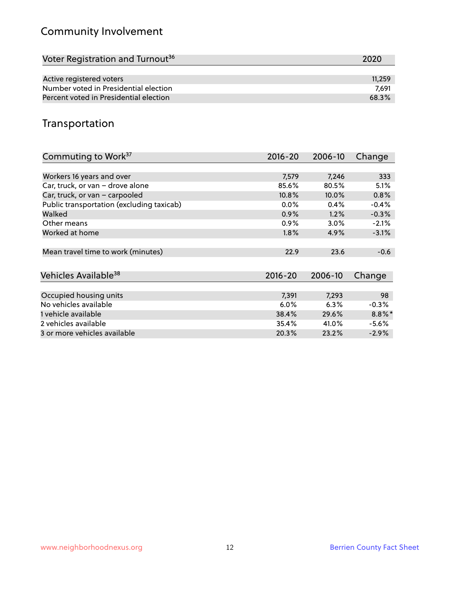## Community Involvement

| Voter Registration and Turnout <sup>36</sup> | 2020   |
|----------------------------------------------|--------|
|                                              |        |
| Active registered voters                     | 11,259 |
| Number voted in Presidential election        | 7.691  |
| Percent voted in Presidential election       | 68.3%  |

## Transportation

| Commuting to Work <sup>37</sup>           | $2016 - 20$ | 2006-10 | Change    |
|-------------------------------------------|-------------|---------|-----------|
|                                           |             |         |           |
| Workers 16 years and over                 | 7,579       | 7,246   | 333       |
| Car, truck, or van - drove alone          | 85.6%       | 80.5%   | 5.1%      |
| Car, truck, or van - carpooled            | 10.8%       | 10.0%   | 0.8%      |
| Public transportation (excluding taxicab) | $0.0\%$     | 0.4%    | $-0.4%$   |
| Walked                                    | 0.9%        | 1.2%    | $-0.3%$   |
| Other means                               | $0.9\%$     | 3.0%    | $-2.1%$   |
| Worked at home                            | 1.8%        | 4.9%    | $-3.1%$   |
|                                           |             |         |           |
| Mean travel time to work (minutes)        | 22.9        | 23.6    | $-0.6$    |
|                                           |             |         |           |
| Vehicles Available <sup>38</sup>          | $2016 - 20$ | 2006-10 | Change    |
|                                           |             |         |           |
| Occupied housing units                    | 7,391       | 7,293   | 98        |
| No vehicles available                     | 6.0%        | 6.3%    | $-0.3%$   |
| 1 vehicle available                       | 38.4%       | 29.6%   | $8.8\%$ * |
| 2 vehicles available                      | 35.4%       | 41.0%   | $-5.6%$   |
| 3 or more vehicles available              | 20.3%       | 23.2%   | $-2.9%$   |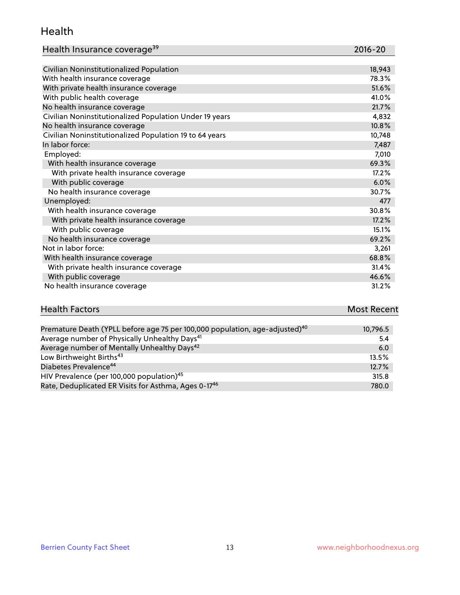#### Health

| Health Insurance coverage <sup>39</sup> | 2016-20 |
|-----------------------------------------|---------|
|-----------------------------------------|---------|

| Civilian Noninstitutionalized Population                | 18,943 |
|---------------------------------------------------------|--------|
| With health insurance coverage                          | 78.3%  |
| With private health insurance coverage                  | 51.6%  |
| With public health coverage                             | 41.0%  |
| No health insurance coverage                            | 21.7%  |
| Civilian Noninstitutionalized Population Under 19 years | 4,832  |
| No health insurance coverage                            | 10.8%  |
| Civilian Noninstitutionalized Population 19 to 64 years | 10,748 |
| In labor force:                                         | 7,487  |
| Employed:                                               | 7,010  |
| With health insurance coverage                          | 69.3%  |
| With private health insurance coverage                  | 17.2%  |
| With public coverage                                    | 6.0%   |
| No health insurance coverage                            | 30.7%  |
| Unemployed:                                             | 477    |
| With health insurance coverage                          | 30.8%  |
| With private health insurance coverage                  | 17.2%  |
| With public coverage                                    | 15.1%  |
| No health insurance coverage                            | 69.2%  |
| Not in labor force:                                     | 3,261  |
| With health insurance coverage                          | 68.8%  |
| With private health insurance coverage                  | 31.4%  |
| With public coverage                                    | 46.6%  |
| No health insurance coverage                            | 31.2%  |

# **Health Factors Most Recent** And The Control of the Control of The Control of The Control of The Control of The Control of The Control of The Control of The Control of The Control of The Control of The Control of The Contr

| Premature Death (YPLL before age 75 per 100,000 population, age-adjusted) <sup>40</sup> | 10,796.5 |
|-----------------------------------------------------------------------------------------|----------|
| Average number of Physically Unhealthy Days <sup>41</sup>                               | 5.4      |
| Average number of Mentally Unhealthy Days <sup>42</sup>                                 | 6.0      |
| Low Birthweight Births <sup>43</sup>                                                    | 13.5%    |
| Diabetes Prevalence <sup>44</sup>                                                       | 12.7%    |
| HIV Prevalence (per 100,000 population) <sup>45</sup>                                   | 315.8    |
| Rate, Deduplicated ER Visits for Asthma, Ages 0-17 <sup>46</sup>                        | 780.0    |